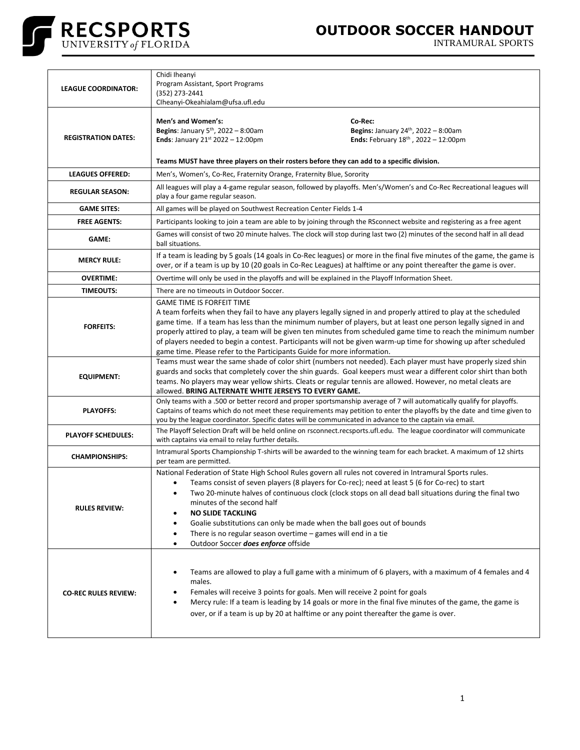

## **OUTDOOR SOCCER HANDOUT**

INTRAMURAL SPORTS

| <b>LEAGUE COORDINATOR:</b>  | Chidi Iheanyi<br>Program Assistant, Sport Programs<br>(352) 273-2441<br>Clheanyi-Okeahialam@ufsa.ufl.edu                                                                                                                                                                                                                                                                                                                                                                                                                                                                                    |
|-----------------------------|---------------------------------------------------------------------------------------------------------------------------------------------------------------------------------------------------------------------------------------------------------------------------------------------------------------------------------------------------------------------------------------------------------------------------------------------------------------------------------------------------------------------------------------------------------------------------------------------|
| <b>REGISTRATION DATES:</b>  | Men's and Women's:<br>Co-Rec:<br>Begins: January 5 <sup>th</sup> , 2022 - 8:00am<br>Begins: January 24th, 2022 - 8:00am<br><b>Ends:</b> February $18^{th}$ , $2022 - 12:00$ pm<br><b>Ends: January 21st 2022 - 12:00pm</b><br>Teams MUST have three players on their rosters before they can add to a specific division.                                                                                                                                                                                                                                                                    |
| <b>LEAGUES OFFERED:</b>     | Men's, Women's, Co-Rec, Fraternity Orange, Fraternity Blue, Sorority                                                                                                                                                                                                                                                                                                                                                                                                                                                                                                                        |
| <b>REGULAR SEASON:</b>      | All leagues will play a 4-game regular season, followed by playoffs. Men's/Women's and Co-Rec Recreational leagues will<br>play a four game regular season.                                                                                                                                                                                                                                                                                                                                                                                                                                 |
| <b>GAME SITES:</b>          | All games will be played on Southwest Recreation Center Fields 1-4                                                                                                                                                                                                                                                                                                                                                                                                                                                                                                                          |
| <b>FREE AGENTS:</b>         | Participants looking to join a team are able to by joining through the RSconnect website and registering as a free agent                                                                                                                                                                                                                                                                                                                                                                                                                                                                    |
| <b>GAME:</b>                | Games will consist of two 20 minute halves. The clock will stop during last two (2) minutes of the second half in all dead<br>ball situations.                                                                                                                                                                                                                                                                                                                                                                                                                                              |
| <b>MERCY RULE:</b>          | If a team is leading by 5 goals (14 goals in Co-Rec leagues) or more in the final five minutes of the game, the game is<br>over, or if a team is up by 10 (20 goals in Co-Rec Leagues) at halftime or any point thereafter the game is over.                                                                                                                                                                                                                                                                                                                                                |
| <b>OVERTIME:</b>            | Overtime will only be used in the playoffs and will be explained in the Playoff Information Sheet.                                                                                                                                                                                                                                                                                                                                                                                                                                                                                          |
| <b>TIMEOUTS:</b>            | There are no timeouts in Outdoor Soccer.                                                                                                                                                                                                                                                                                                                                                                                                                                                                                                                                                    |
| <b>FORFEITS:</b>            | <b>GAME TIME IS FORFEIT TIME</b><br>A team forfeits when they fail to have any players legally signed in and properly attired to play at the scheduled<br>game time. If a team has less than the minimum number of players, but at least one person legally signed in and<br>properly attired to play, a team will be given ten minutes from scheduled game time to reach the minimum number<br>of players needed to begin a contest. Participants will not be given warm-up time for showing up after scheduled<br>game time. Please refer to the Participants Guide for more information. |
| <b>EQUIPMENT:</b>           | Teams must wear the same shade of color shirt (numbers not needed). Each player must have properly sized shin<br>guards and socks that completely cover the shin guards. Goal keepers must wear a different color shirt than both<br>teams. No players may wear yellow shirts. Cleats or regular tennis are allowed. However, no metal cleats are<br>allowed. BRING ALTERNATE WHITE JERSEYS TO EVERY GAME.                                                                                                                                                                                  |
| <b>PLAYOFFS:</b>            | Only teams with a .500 or better record and proper sportsmanship average of 7 will automatically qualify for playoffs.<br>Captains of teams which do not meet these requirements may petition to enter the playoffs by the date and time given to<br>you by the league coordinator. Specific dates will be communicated in advance to the captain via email.                                                                                                                                                                                                                                |
| <b>PLAYOFF SCHEDULES:</b>   | The Playoff Selection Draft will be held online on rsconnect.recsports.ufl.edu. The league coordinator will communicate<br>with captains via email to relay further details.                                                                                                                                                                                                                                                                                                                                                                                                                |
| <b>CHAMPIONSHIPS:</b>       | Intramural Sports Championship T-shirts will be awarded to the winning team for each bracket. A maximum of 12 shirts<br>per team are permitted.                                                                                                                                                                                                                                                                                                                                                                                                                                             |
| <b>RULES REVIEW:</b>        | National Federation of State High School Rules govern all rules not covered in Intramural Sports rules.<br>Teams consist of seven players (8 players for Co-rec); need at least 5 (6 for Co-rec) to start<br>Two 20-minute halves of continuous clock (clock stops on all dead ball situations during the final two<br>minutes of the second half<br><b>NO SLIDE TACKLING</b><br>Goalie substitutions can only be made when the ball goes out of bounds<br>٠<br>There is no regular season overtime - games will end in a tie<br>٠<br>Outdoor Soccer does enforce offside                   |
| <b>CO-REC RULES REVIEW:</b> | Teams are allowed to play a full game with a minimum of 6 players, with a maximum of 4 females and 4<br>٠<br>males.<br>Females will receive 3 points for goals. Men will receive 2 point for goals<br>$\bullet$<br>Mercy rule: If a team is leading by 14 goals or more in the final five minutes of the game, the game is<br>$\bullet$<br>over, or if a team is up by 20 at halftime or any point thereafter the game is over.                                                                                                                                                             |